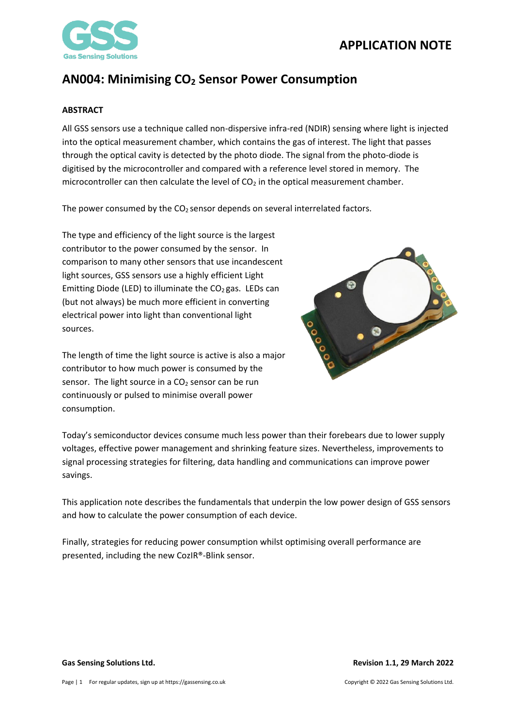## **APPLICATION NOTE**



## **AN004: Minimising CO<sup>2</sup> Sensor Power Consumption**

#### <span id="page-0-0"></span>**ABSTRACT**

All GSS sensors use a technique called non-dispersive infra-red (NDIR) sensing where light is injected into the optical measurement chamber, which contains the gas of interest. The light that passes through the optical cavity is detected by the photo diode. The signal from the photo-diode is digitised by the microcontroller and compared with a reference level stored in memory. The microcontroller can then calculate the level of  $CO<sub>2</sub>$  in the optical measurement chamber.

The power consumed by the  $CO<sub>2</sub>$  sensor depends on several interrelated factors.

The type and efficiency of the light source is the largest contributor to the power consumed by the sensor. In comparison to many other sensors that use incandescent light sources, GSS sensors use a highly efficient Light Emitting Diode (LED) to illuminate the  $CO<sub>2</sub>$  gas. LEDs can (but not always) be much more efficient in converting electrical power into light than conventional light sources.

The length of time the light source is active is also a major contributor to how much power is consumed by the sensor. The light source in a  $CO<sub>2</sub>$  sensor can be run continuously or pulsed to minimise overall power consumption.



Today's semiconductor devices consume much less power than their forebears due to lower supply voltages, effective power management and shrinking feature sizes. Nevertheless, improvements to signal processing strategies for filtering, data handling and communications can improve power savings.

This application note describes the fundamentals that underpin the low power design of GSS sensors and how to calculate the power consumption of each device.

Finally, strategies for reducing power consumption whilst optimising overall performance are presented, including the new CozIR®-Blink sensor.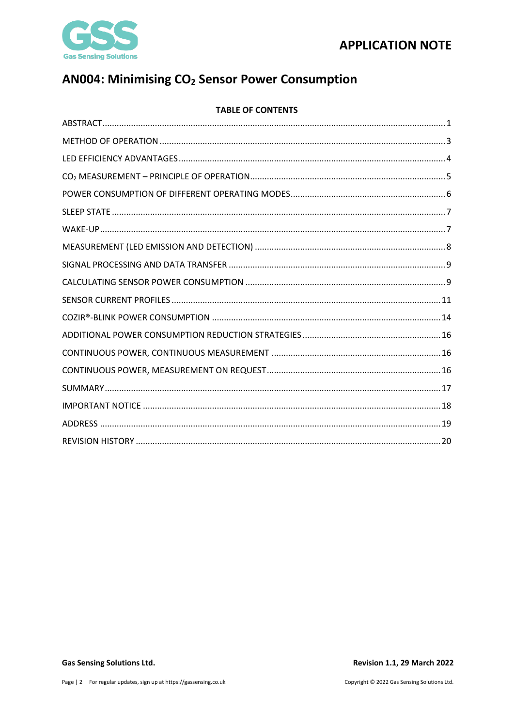



# AN004: Minimising CO<sub>2</sub> Sensor Power Consumption

### **TABLE OF CONTENTS**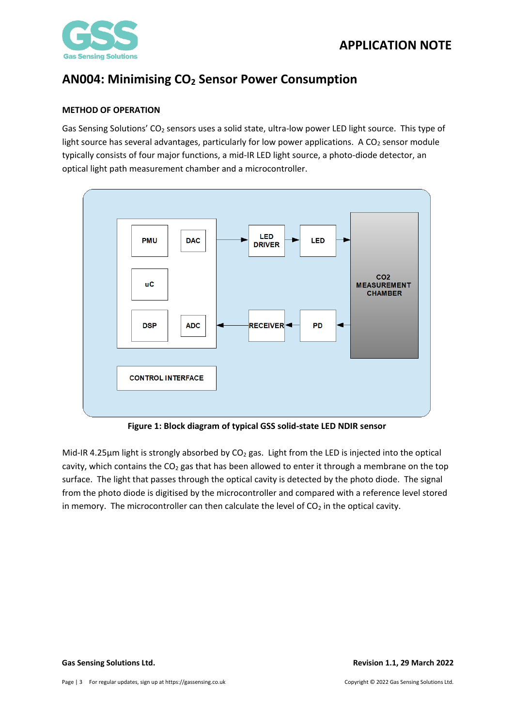



### <span id="page-2-0"></span>**METHOD OF OPERATION**

Gas Sensing Solutions' CO<sub>2</sub> sensors uses a solid state, ultra-low power LED light source. This type of light source has several advantages, particularly for low power applications. A  $CO<sub>2</sub>$  sensor module typically consists of four major functions, a mid-IR LED light source, a photo-diode detector, an optical light path measurement chamber and a microcontroller.



**Figure 1: Block diagram of typical GSS solid-state LED NDIR sensor**

Mid-IR 4.25 $\mu$ m light is strongly absorbed by CO<sub>2</sub> gas. Light from the LED is injected into the optical cavity, which contains the  $CO<sub>2</sub>$  gas that has been allowed to enter it through a membrane on the top surface. The light that passes through the optical cavity is detected by the photo diode. The signal from the photo diode is digitised by the microcontroller and compared with a reference level stored in memory. The microcontroller can then calculate the level of  $CO<sub>2</sub>$  in the optical cavity.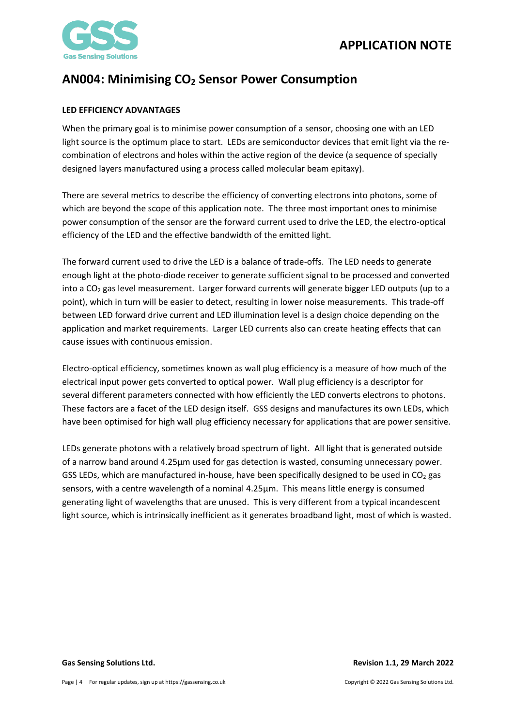

### <span id="page-3-0"></span>**LED EFFICIENCY ADVANTAGES**

When the primary goal is to minimise power consumption of a sensor, choosing one with an LED light source is the optimum place to start. LEDs are semiconductor devices that emit light via the recombination of electrons and holes within the active region of the device (a sequence of specially designed layers manufactured using a process called molecular beam epitaxy).

There are several metrics to describe the efficiency of converting electrons into photons, some of which are beyond the scope of this application note. The three most important ones to minimise power consumption of the sensor are the forward current used to drive the LED, the electro-optical efficiency of the LED and the effective bandwidth of the emitted light.

The forward current used to drive the LED is a balance of trade-offs. The LED needs to generate enough light at the photo-diode receiver to generate sufficient signal to be processed and converted into a CO<sub>2</sub> gas level measurement. Larger forward currents will generate bigger LED outputs (up to a point), which in turn will be easier to detect, resulting in lower noise measurements. This trade-off between LED forward drive current and LED illumination level is a design choice depending on the application and market requirements. Larger LED currents also can create heating effects that can cause issues with continuous emission.

Electro-optical efficiency, sometimes known as wall plug efficiency is a measure of how much of the electrical input power gets converted to optical power. Wall plug efficiency is a descriptor for several different parameters connected with how efficiently the LED converts electrons to photons. These factors are a facet of the LED design itself. GSS designs and manufactures its own LEDs, which have been optimised for high wall plug efficiency necessary for applications that are power sensitive.

LEDs generate photons with a relatively broad spectrum of light. All light that is generated outside of a narrow band around 4.25µm used for gas detection is wasted, consuming unnecessary power. GSS LEDs, which are manufactured in-house, have been specifically designed to be used in  $CO<sub>2</sub>$  gas sensors, with a centre wavelength of a nominal 4.25µm. This means little energy is consumed generating light of wavelengths that are unused. This is very different from a typical incandescent light source, which is intrinsically inefficient as it generates broadband light, most of which is wasted.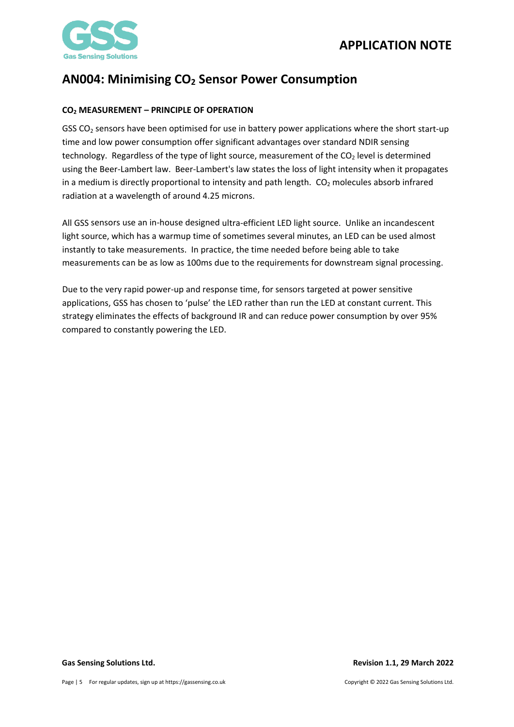

## <span id="page-4-0"></span>**CO<sup>2</sup> MEASUREMENT – PRINCIPLE OF OPERATION**

GSS CO<sub>2</sub> sensors have been optimised for use in battery power applications where the short start-up time and low power consumption offer significant advantages over standard NDIR sensing technology. Regardless of the type of light source, measurement of the  $CO<sub>2</sub>$  level is determined using the Beer-Lambert law. Beer-Lambert's law states the loss of light intensity when it propagates in a medium is directly proportional to intensity and path length. CO<sub>2</sub> molecules absorb infrared radiation at a wavelength of around 4.25 microns.

All GSS sensors use an in-house designed ultra-efficient LED light source. Unlike an incandescent light source, which has a warmup time of sometimes several minutes, an LED can be used almost instantly to take measurements. In practice, the time needed before being able to take measurements can be as low as 100ms due to the requirements for downstream signal processing.

Due to the very rapid power-up and response time, for sensors targeted at power sensitive applications, GSS has chosen to 'pulse' the LED rather than run the LED at constant current. This strategy eliminates the effects of background IR and can reduce power consumption by over 95% compared to constantly powering the LED.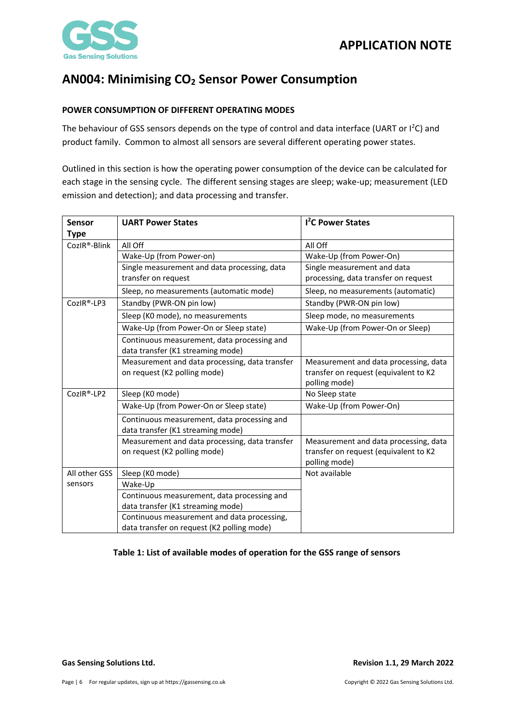

### <span id="page-5-0"></span>**POWER CONSUMPTION OF DIFFERENT OPERATING MODES**

The behaviour of GSS sensors depends on the type of control and data interface (UART or I<sup>2</sup>C) and product family. Common to almost all sensors are several different operating power states.

Outlined in this section is how the operating power consumption of the device can be calculated for each stage in the sensing cycle. The different sensing stages are sleep; wake-up; measurement (LED emission and detection); and data processing and transfer.

| Sensor        | <b>UART Power States</b>                       | <b>1<sup>2</sup>C Power States</b>    |
|---------------|------------------------------------------------|---------------------------------------|
| <b>Type</b>   |                                                |                                       |
| CozIR®-Blink  | All Off                                        | All Off                               |
|               | Wake-Up (from Power-on)                        | Wake-Up (from Power-On)               |
|               | Single measurement and data processing, data   | Single measurement and data           |
|               | transfer on request                            | processing, data transfer on request  |
|               | Sleep, no measurements (automatic mode)        | Sleep, no measurements (automatic)    |
| CozIR®-LP3    | Standby (PWR-ON pin low)                       | Standby (PWR-ON pin low)              |
|               | Sleep (K0 mode), no measurements               | Sleep mode, no measurements           |
|               | Wake-Up (from Power-On or Sleep state)         | Wake-Up (from Power-On or Sleep)      |
|               | Continuous measurement, data processing and    |                                       |
|               | data transfer (K1 streaming mode)              |                                       |
|               | Measurement and data processing, data transfer | Measurement and data processing, data |
|               | on request (K2 polling mode)                   | transfer on request (equivalent to K2 |
|               |                                                | polling mode)                         |
| CozIR®-LP2    | Sleep (K0 mode)                                | No Sleep state                        |
|               | Wake-Up (from Power-On or Sleep state)         | Wake-Up (from Power-On)               |
|               | Continuous measurement, data processing and    |                                       |
|               | data transfer (K1 streaming mode)              |                                       |
|               | Measurement and data processing, data transfer | Measurement and data processing, data |
|               | on request (K2 polling mode)                   | transfer on request (equivalent to K2 |
|               |                                                | polling mode)                         |
| All other GSS | Sleep (K0 mode)                                | Not available                         |
| sensors       | Wake-Up                                        |                                       |
|               | Continuous measurement, data processing and    |                                       |
|               | data transfer (K1 streaming mode)              |                                       |
|               | Continuous measurement and data processing,    |                                       |
|               | data transfer on request (K2 polling mode)     |                                       |

#### **Table 1: List of available modes of operation for the GSS range of sensors**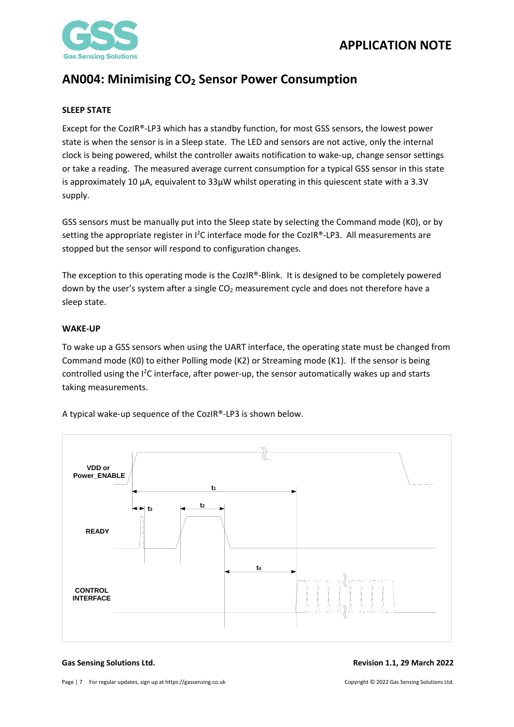



#### <span id="page-6-0"></span>**SLEEP STATE**

Except for the CozIR®-LP3 which has a standby function, for most GSS sensors, the lowest power state is when the sensor is in a Sleep state. The LED and sensors are not active, only the internal clock is being powered, whilst the controller awaits notification to wake-up, change sensor settings or take a reading. The measured average current consumption for a typical GSS sensor in this state is approximately 10 µA, equivalent to 33µW whilst operating in this quiescent state with a 3.3V supply.

GSS sensors must be manually put into the Sleep state by selecting the Command mode (K0), or by setting the appropriate register in  $l^2C$  interface mode for the CozIR®-LP3. All measurements are stopped but the sensor will respond to configuration changes.

The exception to this operating mode is the CozIR®-Blink. It is designed to be completely powered down by the user's system after a single CO<sub>2</sub> measurement cycle and does not therefore have a sleep state.

#### <span id="page-6-1"></span>**WAKE-UP**

To wake up a GSS sensors when using the UART interface, the operating state must be changed from Command mode (K0) to either Polling mode (K2) or Streaming mode (K1). If the sensor is being controlled using the  $1^2C$  interface, after power-up, the sensor automatically wakes up and starts taking measurements.



A typical wake-up sequence of the CozIR®-LP3 is shown below.

**Gas Sensing Solutions Ltd. Revision 1.1, 29 March 2022**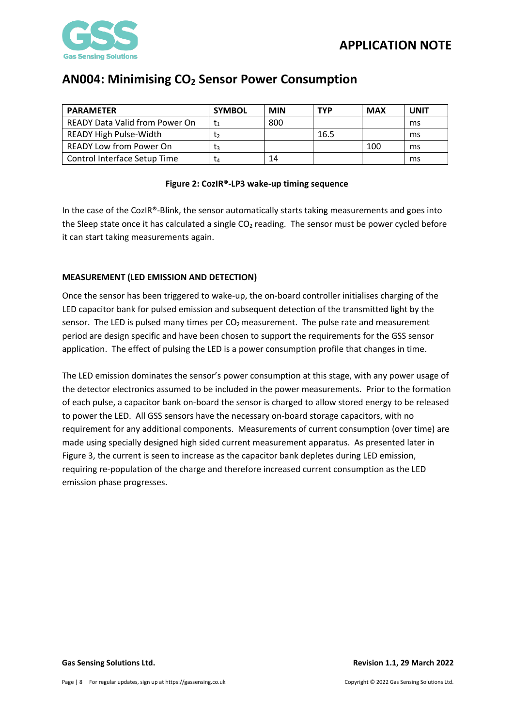

| <b>PARAMETER</b>                      | <b>SYMBOL</b> | <b>MIN</b> | <b>TYP</b> | <b>MAX</b> | <b>UNIT</b> |
|---------------------------------------|---------------|------------|------------|------------|-------------|
| <b>READY Data Valid from Power On</b> |               | 800        |            |            | ms          |
| <b>READY High Pulse-Width</b>         | T2            |            | 16.5       |            | ms          |
| <b>READY Low from Power On</b>        | Tз            |            |            | 100        | ms          |
| Control Interface Setup Time          | L4            | 14         |            |            | ms          |

### **Figure 2: CozIR®-LP3 wake-up timing sequence**

In the case of the CozIR®-Blink, the sensor automatically starts taking measurements and goes into the Sleep state once it has calculated a single  $CO<sub>2</sub>$  reading. The sensor must be power cycled before it can start taking measurements again.

### <span id="page-7-0"></span>**MEASUREMENT (LED EMISSION AND DETECTION)**

Once the sensor has been triggered to wake-up, the on-board controller initialises charging of the LED capacitor bank for pulsed emission and subsequent detection of the transmitted light by the sensor. The LED is pulsed many times per  $CO<sub>2</sub>$  measurement. The pulse rate and measurement period are design specific and have been chosen to support the requirements for the GSS sensor application. The effect of pulsing the LED is a power consumption profile that changes in time.

The LED emission dominates the sensor's power consumption at this stage, with any power usage of the detector electronics assumed to be included in the power measurements. Prior to the formation of each pulse, a capacitor bank on-board the sensor is charged to allow stored energy to be released to power the LED. All GSS sensors have the necessary on-board storage capacitors, with no requirement for any additional components. Measurements of current consumption (over time) are made using specially designed high sided current measurement apparatus. As presented later in Figure 3, the current is seen to increase as the capacitor bank depletes during LED emission, requiring re-population of the charge and therefore increased current consumption as the LED emission phase progresses.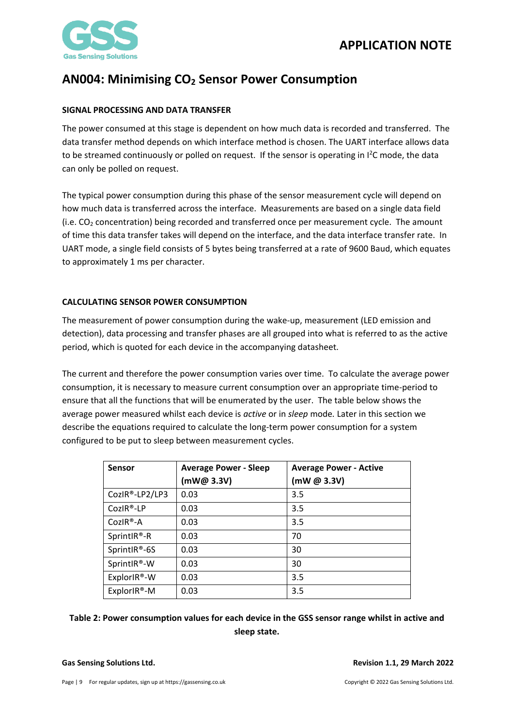

### <span id="page-8-0"></span>**SIGNAL PROCESSING AND DATA TRANSFER**

The power consumed at this stage is dependent on how much data is recorded and transferred. The data transfer method depends on which interface method is chosen. The UART interface allows data to be streamed continuously or polled on request. If the sensor is operating in  $I^2C$  mode, the data can only be polled on request.

The typical power consumption during this phase of the sensor measurement cycle will depend on how much data is transferred across the interface. Measurements are based on a single data field (i.e.  $CO<sub>2</sub>$  concentration) being recorded and transferred once per measurement cycle. The amount of time this data transfer takes will depend on the interface, and the data interface transfer rate. In UART mode, a single field consists of 5 bytes being transferred at a rate of 9600 Baud, which equates to approximately 1 ms per character.

### <span id="page-8-1"></span>**CALCULATING SENSOR POWER CONSUMPTION**

The measurement of power consumption during the wake-up, measurement (LED emission and detection), data processing and transfer phases are all grouped into what is referred to as the active period, which is quoted for each device in the accompanying datasheet.

The current and therefore the power consumption varies over time. To calculate the average power consumption, it is necessary to measure current consumption over an appropriate time-period to ensure that all the functions that will be enumerated by the user. The table below shows the average power measured whilst each device is *active* or in *sleep* mode*.* Later in this section we describe the equations required to calculate the long-term power consumption for a system configured to be put to sleep between measurement cycles.

| <b>Sensor</b>  | <b>Average Power - Sleep</b> | <b>Average Power - Active</b> |
|----------------|------------------------------|-------------------------------|
|                | (mW@ 3.3V)                   | (mW @ 3.3V)                   |
| CozIR®-LP2/LP3 | 0.03                         | 3.5                           |
| CozIR®-LP      | 0.03                         | 3.5                           |
| $CozIR®-A$     | 0.03                         | 3.5                           |
| SprintlR®-R    | 0.03                         | 70                            |
| SprintlR®-6S   | 0.03                         | 30                            |
| SprintlR®-W    | 0.03                         | 30                            |
| ExplorIR®-W    | 0.03                         | 3.5                           |
| ExplorIR®-M    | 0.03                         | 3.5                           |

## **Table 2: Power consumption values for each device in the GSS sensor range whilst in active and sleep state.**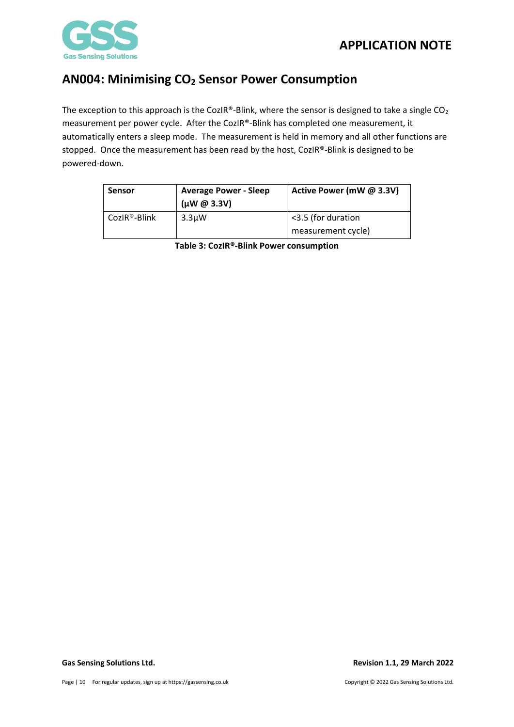

The exception to this approach is the CozIR®-Blink, where the sensor is designed to take a single  $CO<sub>2</sub>$ measurement per power cycle. After the CozIR®-Blink has completed one measurement, it automatically enters a sleep mode. The measurement is held in memory and all other functions are stopped. Once the measurement has been read by the host, CozIR®-Blink is designed to be powered-down.

| <b>Sensor</b> | <b>Average Power - Sleep</b><br>$(\mu W @ 3.3V)$ | Active Power (mW @ 3.3V)                 |
|---------------|--------------------------------------------------|------------------------------------------|
| CozIR®-Blink  | 3.3 <sub>u</sub> W                               | <3.5 (for duration<br>measurement cycle) |

**Table 3: CozIR®-Blink Power consumption**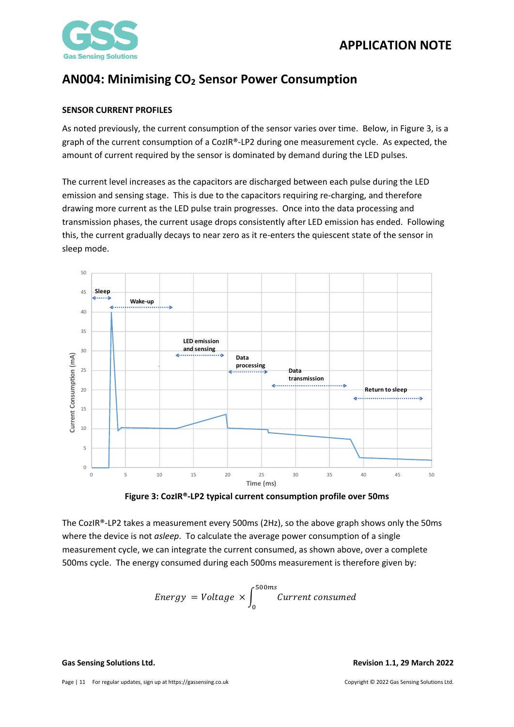

### <span id="page-10-0"></span>**SENSOR CURRENT PROFILES**

As noted previously, the current consumption of the sensor varies over time. Below, in Figure 3, is a graph of the current consumption of a CozIR®-LP2 during one measurement cycle. As expected, the amount of current required by the sensor is dominated by demand during the LED pulses.

The current level increases as the capacitors are discharged between each pulse during the LED emission and sensing stage. This is due to the capacitors requiring re-charging, and therefore drawing more current as the LED pulse train progresses. Once into the data processing and transmission phases, the current usage drops consistently after LED emission has ended. Following this, the current gradually decays to near zero as it re-enters the quiescent state of the sensor in sleep mode.





The CozIR®-LP2 takes a measurement every 500ms (2Hz), so the above graph shows only the 50ms where the device is not *asleep*. To calculate the average power consumption of a single measurement cycle, we can integrate the current consumed, as shown above, over a complete 500ms cycle. The energy consumed during each 500ms measurement is therefore given by:

Energy = Voltage 
$$
\times \int_{0}^{500ms}
$$
 Current consumed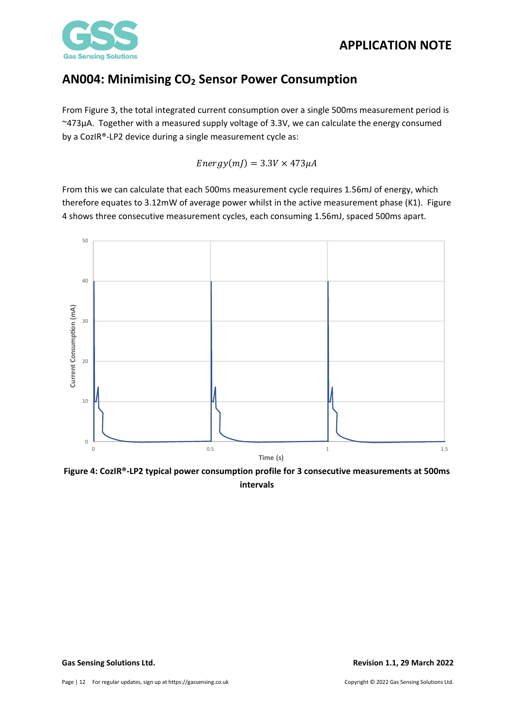

From Figure 3, the total integrated current consumption over a single 500ms measurement period is ~473µA. Together with a measured supply voltage of 3.3V, we can calculate the energy consumed by a CozIR®-LP2 device during a single measurement cycle as:

 $Energy(mJ) = 3.3V \times 473 \mu A$ 

From this we can calculate that each 500ms measurement cycle requires 1.56mJ of energy, which therefore equates to 3.12mW of average power whilst in the active measurement phase (K1). Figure 4 shows three consecutive measurement cycles, each consuming 1.56mJ, spaced 500ms apart.



**Figure 4: CozIR®-LP2 typical power consumption profile for 3 consecutive measurements at 500ms intervals**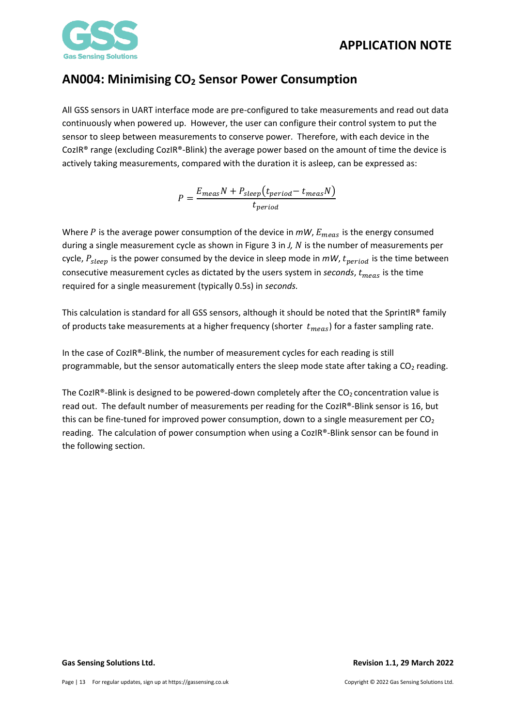

All GSS sensors in UART interface mode are pre-configured to take measurements and read out data continuously when powered up. However, the user can configure their control system to put the sensor to sleep between measurements to conserve power. Therefore, with each device in the CozIR® range (excluding CozIR®-Blink) the average power based on the amount of time the device is actively taking measurements, compared with the duration it is asleep, can be expressed as:

$$
P = \frac{E_{meas}N + P_{sleep}(t_{period} - t_{meas}N)}{t_{period}}
$$

Where P is the average power consumption of the device in  $mW$ ,  $E_{meas}$  is the energy consumed during a single measurement cycle as shown in Figure 3 in *J, N* is the number of measurements per cycle,  $P_{sleep}$  is the power consumed by the device in sleep mode in  $mW$ ,  $t_{period}$  is the time between consecutive measurement cycles as dictated by the users system in *seconds*,  $t_{meas}$  is the time required for a single measurement (typically 0.5s) in *seconds.*

This calculation is standard for all GSS sensors, although it should be noted that the SprintIR® family of products take measurements at a higher frequency (shorter  $t_{meas}$ ) for a faster sampling rate.

In the case of CozIR®-Blink, the number of measurement cycles for each reading is still programmable, but the sensor automatically enters the sleep mode state after taking a  $CO<sub>2</sub>$  reading.

The CozIR®-Blink is designed to be powered-down completely after the  $CO<sub>2</sub>$  concentration value is read out. The default number of measurements per reading for the CozIR®-Blink sensor is 16, but this can be fine-tuned for improved power consumption, down to a single measurement per  $CO<sub>2</sub>$ reading. The calculation of power consumption when using a CozIR®-Blink sensor can be found in the following section.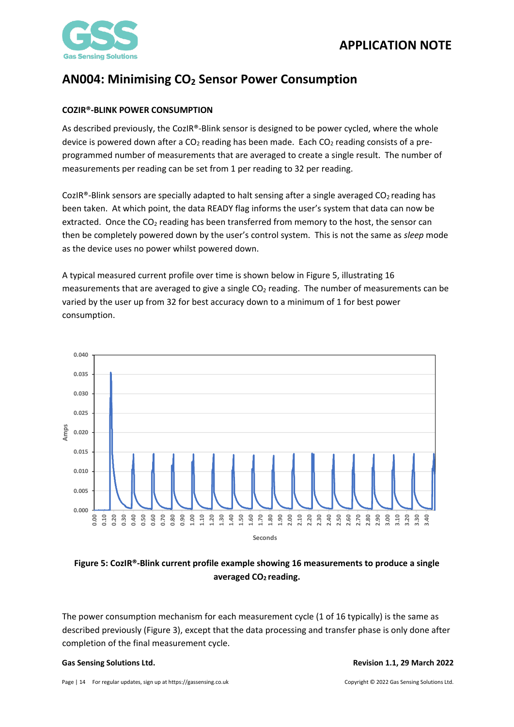

## <span id="page-13-0"></span>**COZIR®-BLINK POWER CONSUMPTION**

As described previously, the CozIR®-Blink sensor is designed to be power cycled, where the whole device is powered down after a  $CO<sub>2</sub>$  reading has been made. Each  $CO<sub>2</sub>$  reading consists of a preprogrammed number of measurements that are averaged to create a single result. The number of measurements per reading can be set from 1 per reading to 32 per reading.

CozIR<sup>®</sup>-Blink sensors are specially adapted to halt sensing after a single averaged  $CO<sub>2</sub>$  reading has been taken. At which point, the data READY flag informs the user's system that data can now be extracted. Once the  $CO<sub>2</sub>$  reading has been transferred from memory to the host, the sensor can then be completely powered down by the user's control system. This is not the same as *sleep* mode as the device uses no power whilst powered down.

A typical measured current profile over time is shown below in Figure 5, illustrating 16 measurements that are averaged to give a single  $CO<sub>2</sub>$  reading. The number of measurements can be varied by the user up from 32 for best accuracy down to a minimum of 1 for best power consumption.



## **Figure 5: CozIR®-Blink current profile example showing 16 measurements to produce a single averaged CO2 reading.**

The power consumption mechanism for each measurement cycle (1 of 16 typically) is the same as described previously (Figure 3), except that the data processing and transfer phase is only done after completion of the final measurement cycle.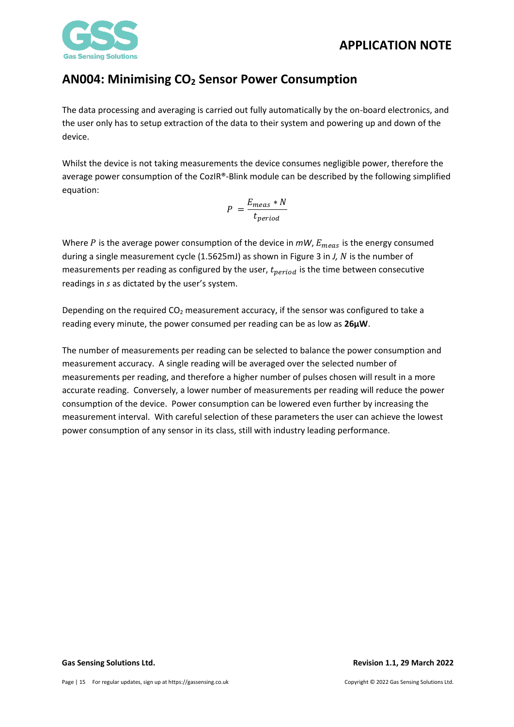



The data processing and averaging is carried out fully automatically by the on-board electronics, and the user only has to setup extraction of the data to their system and powering up and down of the device.

Whilst the device is not taking measurements the device consumes negligible power, therefore the average power consumption of the CozIR®-Blink module can be described by the following simplified equation:

$$
P = \frac{E_{meas} * N}{t_{period}}
$$

Where  $P$  is the average power consumption of the device in  $mW$ ,  $E_{meas}$  is the energy consumed during a single measurement cycle (1.5625mJ) as shown in Figure 3 in *J, N* is the number of measurements per reading as configured by the user,  $t_{period}$  is the time between consecutive readings in *s* as dictated by the user's system.

Depending on the required  $CO<sub>2</sub>$  measurement accuracy, if the sensor was configured to take a reading every minute, the power consumed per reading can be as low as **26µW**.

The number of measurements per reading can be selected to balance the power consumption and measurement accuracy. A single reading will be averaged over the selected number of measurements per reading, and therefore a higher number of pulses chosen will result in a more accurate reading. Conversely, a lower number of measurements per reading will reduce the power consumption of the device. Power consumption can be lowered even further by increasing the measurement interval. With careful selection of these parameters the user can achieve the lowest power consumption of any sensor in its class, still with industry leading performance.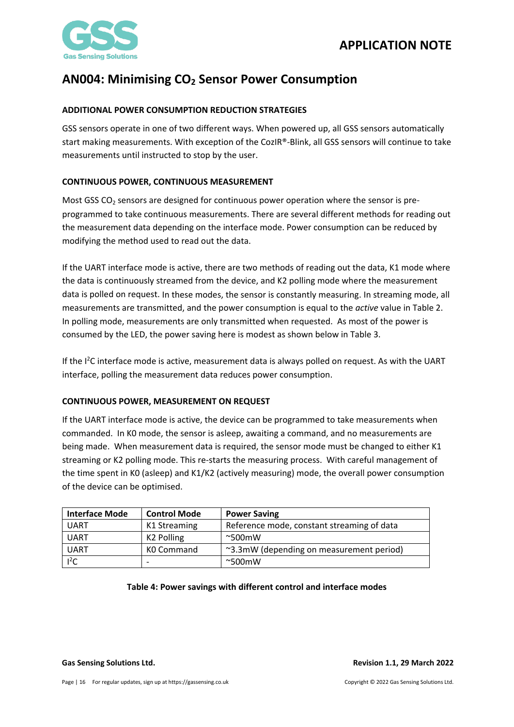

## <span id="page-15-0"></span>**ADDITIONAL POWER CONSUMPTION REDUCTION STRATEGIES**

GSS sensors operate in one of two different ways. When powered up, all GSS sensors automatically start making measurements. With exception of the CozIR®-Blink, all GSS sensors will continue to take measurements until instructed to stop by the user.

### <span id="page-15-1"></span>**CONTINUOUS POWER, CONTINUOUS MEASUREMENT**

Most GSS  $CO<sub>2</sub>$  sensors are designed for continuous power operation where the sensor is preprogrammed to take continuous measurements. There are several different methods for reading out the measurement data depending on the interface mode. Power consumption can be reduced by modifying the method used to read out the data.

If the UART interface mode is active, there are two methods of reading out the data, K1 mode where the data is continuously streamed from the device, and K2 polling mode where the measurement data is polled on request. In these modes, the sensor is constantly measuring. In streaming mode, all measurements are transmitted, and the power consumption is equal to the *active* value in Table 2. In polling mode, measurements are only transmitted when requested. As most of the power is consumed by the LED, the power saving here is modest as shown below in Table 3.

If the I<sup>2</sup>C interface mode is active, measurement data is always polled on request. As with the UART interface, polling the measurement data reduces power consumption.

#### <span id="page-15-2"></span>**CONTINUOUS POWER, MEASUREMENT ON REQUEST**

If the UART interface mode is active, the device can be programmed to take measurements when commanded. In K0 mode, the sensor is asleep, awaiting a command, and no measurements are being made. When measurement data is required, the sensor mode must be changed to either K1 streaming or K2 polling mode. This re-starts the measuring process. With careful management of the time spent in K0 (asleep) and K1/K2 (actively measuring) mode, the overall power consumption of the device can be optimised.

| <b>Interface Mode</b> | <b>Control Mode</b>    | <b>Power Saving</b>                        |
|-----------------------|------------------------|--------------------------------------------|
| UART                  | K1 Streaming           | Reference mode, constant streaming of data |
| UART                  | K <sub>2</sub> Polling | $~\sim$ 500 $~$ mW                         |
| <b>UART</b>           | K0 Command             | ~3.3mW (depending on measurement period)   |
| $l^2C$                |                        | $~\sim$ 500 $~$ mW                         |

#### **Table 4: Power savings with different control and interface modes**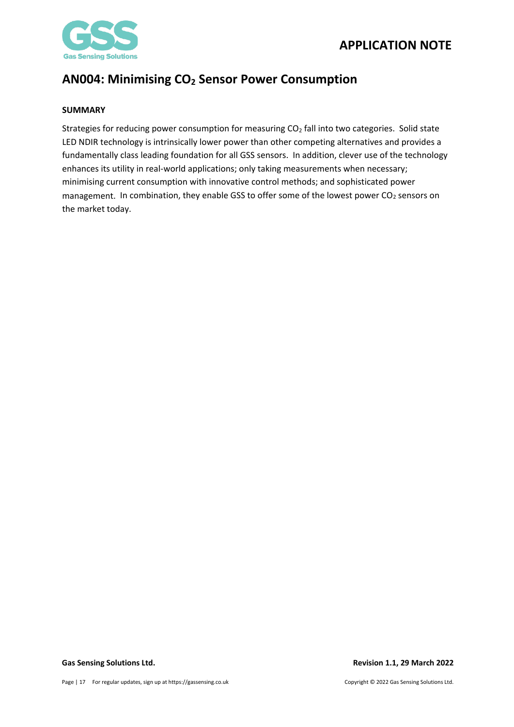



### <span id="page-16-0"></span>**SUMMARY**

Strategies for reducing power consumption for measuring  $CO<sub>2</sub>$  fall into two categories. Solid state LED NDIR technology is intrinsically lower power than other competing alternatives and provides a fundamentally class leading foundation for all GSS sensors. In addition, clever use of the technology enhances its utility in real-world applications; only taking measurements when necessary; minimising current consumption with innovative control methods; and sophisticated power management. In combination, they enable GSS to offer some of the lowest power  $CO<sub>2</sub>$  sensors on the market today.

**Gas Sensing Solutions Ltd. Revision 1.1, 29 March 2022**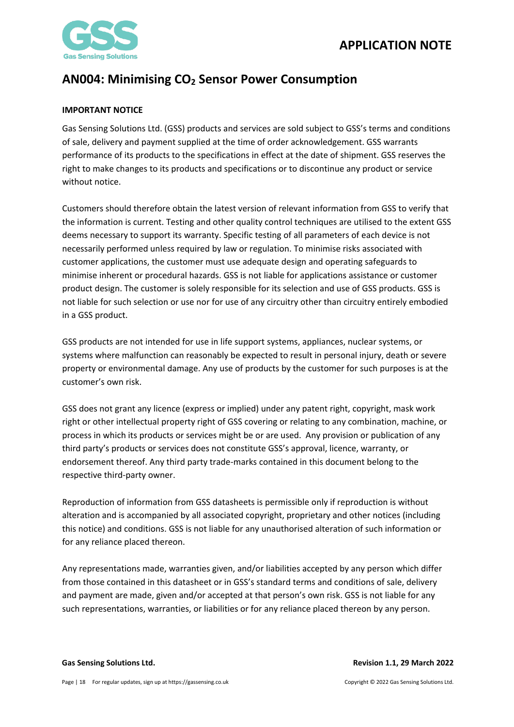

## <span id="page-17-0"></span>**IMPORTANT NOTICE**

Gas Sensing Solutions Ltd (GSS) products and services are sold subject to GSS's terms and conditions of sale, delivery and payment supplied at the time of order acknowledgement. GSS warrants performance of its products to the specifications in effect at the date of shipment. GSS reserves the right to make changes to its products and specifications or to discontinue any product or service without notice.

Customers should therefore obtain the latest version of relevant information from GSS to verify that the information is current. Testing and other quality control techniques are utilised to the extent GSS deems necessary to support its warranty. Specific testing of all parameters of each device is not necessarily performed unless required by law or regulation. To minimise risks associated with customer applications, the customer must use adequate design and operating safeguards to minimise inherent or procedural hazards. GSS is not liable for applications assistance or customer product design. The customer is solely responsible for its selection and use of GSS products. GSS is not liable for such selection or use nor for use of any circuitry other than circuitry entirely embodied in a GSS product.

GSS products are not intended for use in life support systems, appliances, nuclear systems, or systems where malfunction can reasonably be expected to result in personal injury, death or severe property or environmental damage. Any use of products by the customer for such purposes is at the customer's own risk.

GSS does not grant any licence (express or implied) under any patent right, copyright, mask work right or other intellectual property right of GSS covering or relating to any combination, machine, or process in which its products or services might be or are used. Any provision or publication of any third party's products or services does not constitute GSS's approval, licence, warranty, or endorsement thereof. Any third party trade-marks contained in this document belong to the respective third-party owner.

Reproduction of information from GSS datasheets is permissible only if reproduction is without alteration and is accompanied by all associated copyright, proprietary and other notices (including this notice) and conditions. GSS is not liable for any unauthorised alteration of such information or for any reliance placed thereon.

Any representations made, warranties given, and/or liabilities accepted by any person which differ from those contained in this datasheet or in GSS's standard terms and conditions of sale, delivery and payment are made, given and/or accepted at that person's own risk. GSS is not liable for any such representations, warranties, or liabilities or for any reliance placed thereon by any person.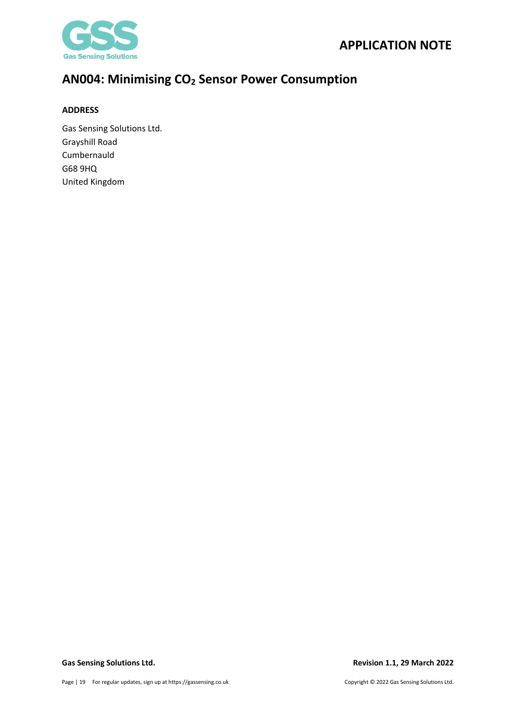

### <span id="page-18-0"></span>**ADDRESS**

Gas Sensing Solutions Ltd. Grayshill Road Cumbernauld G68 9HQ United Kingdom